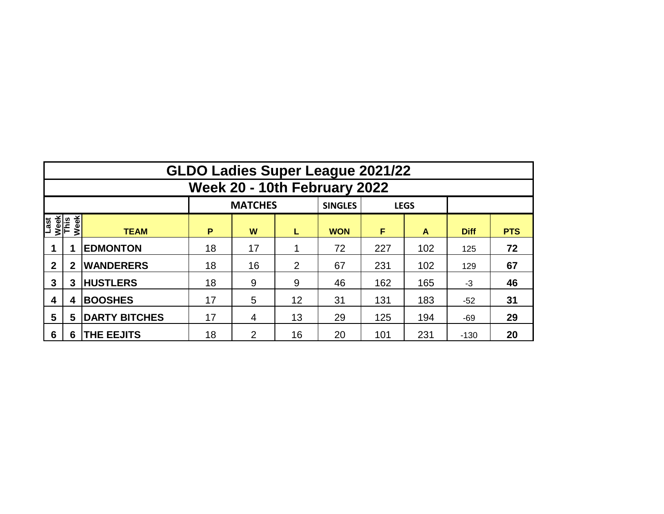|                              | <b>GLDO Ladies Super League 2021/22</b> |                      |    |                |    |                               |     |     |             |            |  |  |  |  |  |
|------------------------------|-----------------------------------------|----------------------|----|----------------|----|-------------------------------|-----|-----|-------------|------------|--|--|--|--|--|
|                              | Week 20 - 10th February 2022            |                      |    |                |    |                               |     |     |             |            |  |  |  |  |  |
|                              |                                         |                      |    | <b>MATCHES</b> |    | <b>SINGLES</b><br><b>LEGS</b> |     |     |             |            |  |  |  |  |  |
| Last<br>Week<br>This<br>Week |                                         | <b>TEAM</b>          | P  | W              | L  | <b>WON</b>                    | F   | A   | <b>Diff</b> | <b>PTS</b> |  |  |  |  |  |
|                              |                                         | <b>EDMONTON</b>      | 18 | 17             | 4  | 72                            | 227 | 102 | 125         | 72         |  |  |  |  |  |
| $\mathbf{2}$                 | 2                                       | <b>WANDERERS</b>     | 18 | 16             | 2  | 67                            | 231 | 102 | 129         | 67         |  |  |  |  |  |
| 3                            | 3                                       | <b>HUSTLERS</b>      | 18 | 9              | 9  | 46                            | 162 | 165 | $-3$        | 46         |  |  |  |  |  |
| 4                            | 4                                       | <b>BOOSHES</b>       | 17 | 5              | 12 | 31                            | 131 | 183 | $-52$       | 31         |  |  |  |  |  |
| 5                            | 5                                       | <b>DARTY BITCHES</b> | 17 | 4              | 13 | 29                            | 125 | 194 | $-69$       | 29         |  |  |  |  |  |
| 6                            | 6                                       | <b>THE EEJITS</b>    | 18 | 2              | 16 | 20                            | 101 | 231 | $-130$      | 20         |  |  |  |  |  |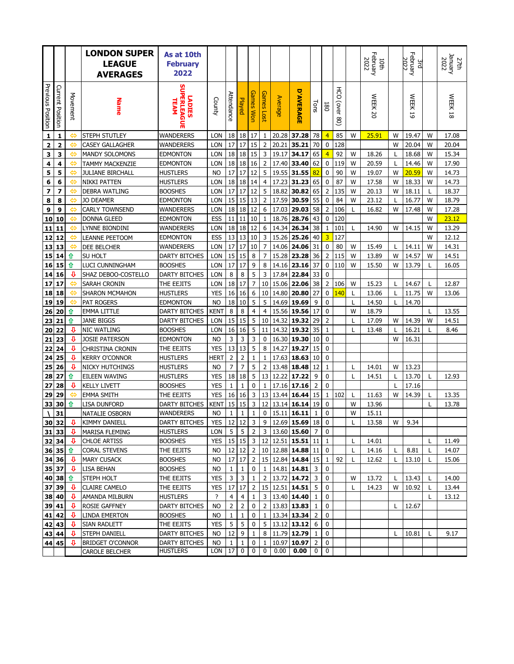|                   |                         |              | <b>LONDON SUPER</b><br><b>LEAGUE</b><br><b>AVERAGES</b> | As at 10th<br><b>February</b><br>2022       |               |                         |                |                                  |                      |                |                                         |                |                               |                                   |        | February<br>2022<br>10th |         | February<br>2022<br>a |        | January<br>2022<br>27th |
|-------------------|-------------------------|--------------|---------------------------------------------------------|---------------------------------------------|---------------|-------------------------|----------------|----------------------------------|----------------------|----------------|-----------------------------------------|----------------|-------------------------------|-----------------------------------|--------|--------------------------|---------|-----------------------|--------|-------------------------|
| Previous Position | <b>Current Position</b> | Movement     | <b>Name</b>                                             | <b>SUPERLEAGUE</b><br><b>LADIES</b><br>TEAM | County        | Attendance              | Played         | <b>Games Won</b>                 | <b>Games</b><br>Lost | <b>Average</b> | Q<br><b>AVERAGE</b>                     | Tons           | 180                           | 공<br>이<br>(over<br>$\frac{80}{2}$ |        | <b>WEEK 20</b>           |         | <b>WEEK</b><br>5      |        | <b>WEEK 18</b>          |
| $\mathbf{1}$      | $\mathbf 1$             | ⇔            | STEPH STUTLEY                                           | WANDERERS                                   | <b>LON</b>    | 18                      | 18             | 17                               | $\mathbf{1}$         | 20.28          | 37.28                                   | 78             | $\overline{4}$                | 85                                | W      | 25.91                    | W       | 19.47                 | W      | 17.08                   |
| 2                 | $\overline{\mathbf{2}}$ | ⇔            | <b>CASEY GALLAGHER</b>                                  | WANDERERS                                   | LON           | 17                      | 17             | 15                               | $\mathbf 2$          | 20.21          | 35.21                                   | 70             | 0                             | 128                               |        |                          | W       | 20.04                 | W      | 20.04                   |
| з                 | 3                       | ⇔            | <b>MANDY SOLOMONS</b>                                   | <b>EDMONTON</b>                             | <b>LON</b>    | 18                      | 18             | 15                               | 3                    | 19.17          | 34.17                                   | 65             | $\overline{4}$                | 92                                | W      | 18.26                    | L       | 18.68                 | W      | 15.34                   |
| 4                 | 4                       | ⇔            | <b>TAMMY MACKENZIE</b>                                  | EDMONTON                                    | LON           | 18                      | 18             | 16                               |                      | 17.40          | 33.40                                   | 62             | 0                             | 119                               | W      | 20.59                    | L       | 14.46                 | W      | 17.90                   |
| 5                 | 5                       | ⇔            | <b>JULIANE BIRCHALL</b>                                 | <b>HUSTLERS</b>                             | <b>NO</b>     | 17                      | 17             | 12                               | 5                    | 19.55          | 31.55                                   | 82             | 0                             | 90                                | W      | 19.07                    | W       | 20.59                 | W      | 14.73                   |
| 6                 | 6                       | ⇔            | <b>NIKKI PATTEN</b>                                     | HUSTLERS                                    | LON           | 18                      | 18             | 14                               | $\overline{4}$       | 17.23          | 31.23                                   | 65             | 0                             | 87                                | W      | 17.58                    | W       | 18.33                 | W      | 14.73                   |
| 7                 | $\overline{\mathbf{z}}$ | ⇔            | <b>DEBRA WATLING</b>                                    | BOOSHES                                     | <b>LON</b>    | 17<br>15                | 17             | 12                               | 5                    | 18.82          | 30.82                                   | 65             | 2                             | 135                               | W      | 20.13                    | W       | 18.11                 | L      | 18.37                   |
| 8                 | 8                       | ⇔<br>یے      | <b>JO DEAMER</b><br><b>CARLY TOWNSEND</b>               | EDMONTON                                    | LON           | 18                      | 15<br>18       | 13<br>12                         | $\overline{2}$<br>6  | 17.59          | 30.59                                   | 55             | $\mathbf 0$<br>$\overline{2}$ | 84                                | W<br>L | 23.12                    | L<br>W  | 16.77                 | W<br>W | 18.79<br>17.28          |
| 9                 | 9                       | ⇔            |                                                         | <b>WANDERERS</b>                            | LON<br>ESS    | 11                      |                | 10                               | $\mathbf{1}$         | 17.03<br>18.76 | 29.03<br>28.76                          | 58<br>43       | 0                             | 106<br>120                        |        | 16.82                    |         | 17.48                 | W      | 23.12                   |
| 10                | 10<br>11                | ⇔            | <b>DONNA GLEED</b><br>LYNNE BIONDINI                    | <b>EDMONTON</b><br>WANDERERS                | LON           | 18                      | 11<br>18       | 12                               | 6                    | 14.34          | 26.34                                   | 38             | $\mathbf{1}$                  | 101                               | L      | 14.90                    | W       | 14.15                 | W      | 13.29                   |
| 11<br>12          | 12                      | ⇔            | <b>LEANNE PEETOOM</b>                                   | EDMONTON                                    | ESS           | 13                      | 13             | 10                               | 3                    | 15.26          | 25.26                                   | 40             | 3                             | 127                               |        |                          |         |                       | W      | 12.12                   |
| <u>13</u>         | 13                      | ⇔            | DEE BELCHER                                             | WANDERERS                                   | LON           | 17                      | 17             | 10                               | $\overline{7}$       | 14.06          | 24.06                                   | 31             | 0                             | 80                                | W      | 15.49                    | L       | 14.11                 | W      | 14.31                   |
| 15                | 14                      | ⇧            | SU HOLT                                                 | DARTY BITCHES                               | LON           | 15                      | 15             | 8                                | $\overline{7}$       | 15.28          | 23.28                                   | 36             | $\overline{2}$                | 115                               | W      | 13.89                    | W       | 14.57                 | W      | 14.51                   |
| 16                | 15                      | ⇧            | LUCI CUNNINGHAM                                         | <b>BOOSHES</b>                              | <b>LON</b>    | 17                      | 17             | 9                                | 8                    | 14.16          | 23.16                                   | 37             | 0                             | 110                               | W      | 15.50                    | W       | 13.79                 | L      | 16.05                   |
| 14                | 16                      | Ð            | SHAZ DEBOO-COSTELLO                                     | <b>DARTY BITCHES</b>                        | <b>LON</b>    | $\,$ 8 $\,$             | 8              | 5                                | 3                    | 17.84          | 22.84                                   | 33             | 0                             |                                   |        |                          |         |                       |        |                         |
| 17                | 17                      | ⇔            | SARAH CRONIN                                            | THE EEJITS                                  | LON           | 18                      | 17             | $\overline{7}$                   | 10                   | 15.06          | 22.06                                   | 38             | $\overline{2}$                | 106                               | W      | 15.23                    | L       | 14.67                 | L      | 12.87                   |
| 18                | 18                      | ⇔            | <b>SHARON MCMAHON</b>                                   | HUSTLERS                                    | <b>YES</b>    | 16                      | 16             | 6                                | 10                   | 14.80          | 20.80                                   | 27             | 0                             | 140                               | L      | 13.06                    | L       | 11.75                 | W      | 13.06                   |
| 19                | 19                      | ⇔            | <b>PAT ROGERS</b>                                       | <b>EDMONTON</b>                             | <b>NO</b>     | 18                      | 10             | 5                                | 5                    | 14.69          | 19.69                                   | 9              | 0                             |                                   | L      | 14.50                    | L       | 14.70                 |        |                         |
| 26                | 20                      | ⇧            | <b>EMMA LITTLE</b>                                      | <b>DARTY BITCHES</b>                        | <b>KENT</b>   | $\, 8$                  | 8              | $\overline{4}$                   | $\overline{4}$       | 15.56          | 19.56                                   | 17             | $\mathbf 0$                   |                                   | W      | 18.79                    |         |                       | L      | 13.55                   |
| 23                | 21                      | ⇧            | <b>JANE BIGGS</b>                                       | <b>DARTY BITCHES</b>                        | <b>LON</b>    | 15                      | 15             | 5                                | 10                   | 14.32          | 19.32                                   | 29             | $\overline{2}$                |                                   | T      | 17.09                    | W       | 14.39                 | W      | 14.51                   |
| 20                | 22                      | €            | <b>NIC WATLING</b>                                      | <b>BOOSHES</b>                              | <b>LON</b>    | 16                      | 16             | 5                                | 11                   | 14.32          | 19.32                                   | 35             | 1                             |                                   | L      | 13.48                    | L       | 16.21                 | L      | 8.46                    |
| 21                | 23                      | $\mathbf{v}$ | <b>JOSIE PATERSON</b>                                   | <b>EDMONTON</b>                             | <b>NO</b>     | 3                       | 3              | 3                                | 0                    | 16.30          | 19.30                                   | 10             | 0                             |                                   |        |                          | W       | 16.31                 |        |                         |
| 22                | 24                      | ⇩            | <b>CHRISTINA CRONIN</b>                                 | THE EEJITS                                  | <b>YES</b>    | 13                      | 13             | 5                                | 8                    | 14.27          | 19.27                                   | 15             | 0                             |                                   |        |                          |         |                       |        |                         |
| 24                | 25                      | ⇩            | <b>KERRY O'CONNOR</b>                                   | HUSTLERS                                    | HERT          | $\mathbf 2$             |                | $\mathbf{1}$                     | $1\,$                | 17.63          | 18.63                                   | 10             | 0                             |                                   |        |                          |         |                       |        |                         |
| 25                | 26                      | €            | NICKY HUTCHINGS                                         | HUSTLERS                                    | <b>NO</b>     | $\overline{7}$          | 7              | 5                                | $\overline{2}$       | 13.48          | 18.48                                   | 12             | 1                             |                                   | L      | 14.01                    | W       | 13.23                 |        |                         |
| 28                | 27                      | ⇧            | <b>EILEEN WAVING</b>                                    | <b>HUSTLERS</b>                             | <b>YES</b>    | 18                      | 18             | 5                                | 13                   | 12.22          | 17.22                                   | 9              | 0                             |                                   | L      | 14.51                    | Г       | 13.70                 | L      | 12.93                   |
| 27                | 28                      | ⇩            | <b>KELLY LIVETT</b>                                     | <b>BOOSHES</b>                              | <b>YES</b>    | $1\,$                   | $\mathbf 1$    | 0                                | $1\,$                | 17.16          | 17.16                                   | $\overline{2}$ | 0                             |                                   |        |                          | L       | 17.16                 |        |                         |
| 29                | 29                      | ⇔            | <b>EMMA SMITH</b>                                       | THE EEJITS                                  | <b>YES</b>    | 16                      | 16             | 3                                | 13                   | 13.44          | 16.44                                   | 15             | $\mathbf{1}$                  | 102                               | L      | 11.63                    | W       | 14.39                 | L      | 13.35                   |
| 33                | 30                      | ⇧            | lisa dunford                                            | DARTY BITCHES                               | Kent          | 15                      | 15             | 3                                | 12                   | 13.14          | 16.14                                   | 19             | 0                             |                                   | W      | 13.96                    |         |                       | L      | 13.78                   |
|                   | 31                      |              | NATALIE OSBORN                                          | WANDERERS                                   | <b>NO</b>     | $1\,$                   | $\mathbf 1$    | $\mathbf 1$                      | 0                    | 15.11          | 16.11                                   | $\mathbf{1}$   | 0                             |                                   | W      | 15.11                    |         |                       |        |                         |
|                   | 30 32                   | ₩            | KIMMY DANIELL                                           | DARTY BITCHES                               | YES   12   12 |                         |                |                                  |                      |                | $3$   9   12.69   <b>15.69</b>   18   0 |                |                               |                                   | L      | 13.58                    | W       | 9.34                  |        |                         |
|                   | 31 33                   | ⊕<br>᠊       | <b>MARISA FLEMING</b>                                   | <b>HUSTLERS</b>                             | LON           | 5                       | 5 <sup>1</sup> | $\overline{2}$                   |                      |                | 3   13.60   15.60   7                   |                | 0                             |                                   |        |                          |         |                       |        |                         |
|                   | 32 34                   |              | <b>CHLOE ARTISS</b><br><b>CORAL STEVENS</b>             | BOOSHES                                     | YES 15 15     |                         | 12 12          |                                  |                      |                | $3   12   12.51  $ 15.51 11             |                | $\mathbf{1}$<br>0             |                                   | L<br>L | 14.01                    |         |                       | L      | 11.49                   |
|                   | $36 35 $ 1<br>34 36     | ⊕            | <b>MARY CUSACK</b>                                      | THE EEJITS<br><b>BOOSHES</b>                | NO.<br>NO.    | 17                      | 17             | $\overline{2}$<br>$\overline{2}$ |                      |                | 10 12.88 14.88 11<br>15 12.84 14.84 15  |                | 1                             | 92                                | L      | 14.16<br>12.62           | L<br>L. | 8.81<br>13.10         | L<br>L | 14.07<br>15.06          |
|                   | 35 37                   | ⊕            | LISA BEHAN                                              | BOOSHES                                     | NO.           | $\mathbf{1}$            | $\mathbf{1}$   | 0                                | $\mathbf{1}$         |                | 14.81 14.81                             | 3              | 0                             |                                   |        |                          |         |                       |        |                         |
|                   | 40 38                   | $\mathbf{r}$ | STEPH HOLT                                              | THE EEJITS                                  | YES           | $\overline{\mathbf{3}}$ | $\mathsf 3$    | $\mathbf{1}$                     |                      |                | 2   13.72   <b>14.72</b>   3            |                | 0                             |                                   | W      | 13.72                    | L.      | 13.43                 | L      | 14.00                   |
|                   | 37 39                   | ⊕            | <b>CLAIRE CAMELO</b>                                    | THE EEJITS                                  | <b>YES</b>    | 17                      | 17             | $\overline{2}$                   |                      |                | 15 12.51 14.51 5                        |                | 0                             |                                   | L      | 14.23                    | W       | 10.92                 | L      | 13.44                   |
|                   | 38 40                   | ⊕            | AMANDA MILBURN                                          | <b>HUSTLERS</b>                             | ?             | 4                       | $\overline{4}$ | 1                                |                      |                | 3   13.40   14.40   1                   |                | 0                             |                                   |        |                          |         |                       | L      | 13.12                   |
|                   | 39 41                   | ⇩            | ROSIE GAFFNEY                                           | <b>DARTY BITCHES</b>                        | <b>NO</b>     | $\overline{2}$          | $\overline{2}$ | 0                                |                      |                | $2 \mid 13.83 \mid 13.83 \mid 1$        |                | $\mathbf 0$                   |                                   |        |                          | L       | 12.67                 |        |                         |
|                   | 41 42                   | ⊕            | <b>LINDA EMERTON</b>                                    | BOOSHES                                     | NO.           | $\mathbf{1}$            | $\mathbf{1}$   | 0                                |                      |                | $1 \mid 13.34 \mid 13.34 \mid 2$        |                | $\mathbf 0$                   |                                   |        |                          |         |                       |        |                         |
|                   | 42 43                   | ⊕            | SIAN RADLETT                                            | THE EEJITS                                  | YES           | 5                       | 5              | 0                                | 5                    |                | $13.12$ 13.12 6                         |                | 0                             |                                   |        |                          |         |                       |        |                         |
|                   | 43 44                   | ₩            | STEPH DANIELL                                           | DARTY BITCHES                               | NO.           | 12                      | 9              | $\mathbf{1}$                     | 8                    |                | $11.79$ 12.79 1                         |                | 0                             |                                   |        |                          | L.      | 10.81                 | L      | 9.17                    |
|                   | 44 45                   | ₩            | <b>BRIDGET O'CONNOR</b>                                 | DARTY BITCHES                               | NO.           | 1                       | 1              | 0                                | $\mathbf{1}$         |                | $10.97$ 10.97 2                         |                | 0                             |                                   |        |                          |         |                       |        |                         |
|                   |                         |              | CAROLE BELCHER                                          | <b>HUSTLERS</b>                             | $LON$ 17      |                         | $\mathbf 0$    | 0                                | 0                    | 0.00           | 0.00                                    | 0              | 0                             |                                   |        |                          |         |                       |        |                         |